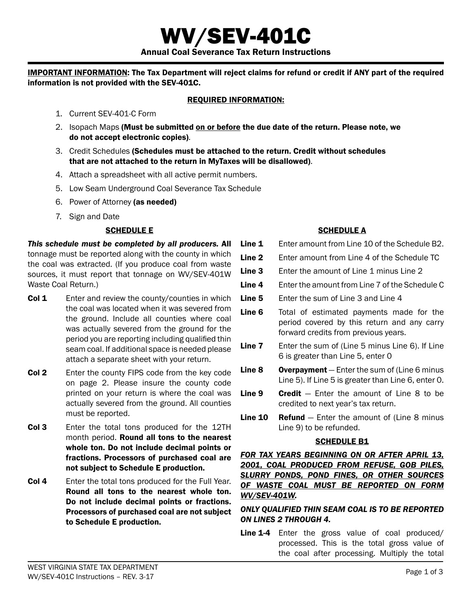WV/SEV-401C Annual Coal Severance Tax Return Instructions

Important Information: The Tax Department will reject claims for refund or credit if ANY part of the required information is not provided with the SEV-401C.

## Required Information:

- 1. Current SEV-401-C Form
- 2. Isopach Maps (Must be submitted on or before the due date of the return. Please note, we do not accept electronic copies).
- 3. Credit Schedules (Schedules must be attached to the return. Credit without schedules that are not attached to the return in MyTaxes will be disallowed).
- 4. Attach a spreadsheet with all active permit numbers.
- 5. Low Seam Underground Coal Severance Tax Schedule
- 6. Power of Attorney (as needed)
- 7. Sign and Date

# SCHEDULE E

*This schedule must be completed by all producers.* All tonnage must be reported along with the county in which the coal was extracted. (If you produce coal from waste sources, it must report that tonnage on WV/SEV-401W Waste Coal Return.)

- **Col 1** Enter and review the county/counties in which the coal was located when it was severed from the ground. Include all counties where coal was actually severed from the ground for the period you are reporting including qualified thin seam coal. If additional space is needed please attach a separate sheet with your return.
- **Col 2** Enter the county FIPS code from the key code on page 2. Please insure the county code printed on your return is where the coal was actually severed from the ground. All counties must be reported.
- Col 3 Enter the total tons produced for the 12TH month period. **Round all tons to the nearest** whole ton. Do not include decimal points or fractions. Processors of purchased coal are not subject to Schedule E production.
- Col 4 Enter the total tons produced for the Full Year. Round all tons to the nearest whole ton. Do not include decimal points or fractions. Processors of purchased coal are not subject to Schedule E production.

# SCHEDULE A

- Line 1 Enter amount from Line 10 of the Schedule B2.
- **Line 2** Enter amount from Line 4 of the Schedule TC
- Line 3 Enter the amount of Line 1 minus Line 2
- Line 4 Enter the amount from Line 7 of the Schedule C
- Line 5 Enter the sum of Line 3 and Line 4
- Line 6 Total of estimated payments made for the period covered by this return and any carry forward credits from previous years.
- Line 7 Enter the sum of (Line 5 minus Line 6). If Line 6 is greater than Line 5, enter 0
- **Line 8** Overpayment  $-$  Enter the sum of (Line 6 minus) Line 5). If Line 5 is greater than Line 6, enter 0.
- **Line 9 Credit**  $-$  Enter the amount of Line 8 to be credited to next year's tax return.
- **Line 10 Refund**  $-$  Enter the amount of (Line 8 minus Line 9) to be refunded.

### **SCHEDULE B1**

*FOR TAX YEARS BEGINNING ON OR AFTER APRIL 13, 2001, COAL PRODUCED FROM REFUSE, GOB PILES, SLURRY PONDS, POND FINES, OR OTHER SOURCES OF WASTE COAL MUST BE REPORTED ON FORM WV/SEV-401W.*

## *Only Qualified thin seam coal is to be reported on Lines 2 through 4.*

Line 1-4 Enter the gross value of coal produced/ processed. This is the total gross value of the coal after processing. Multiply the total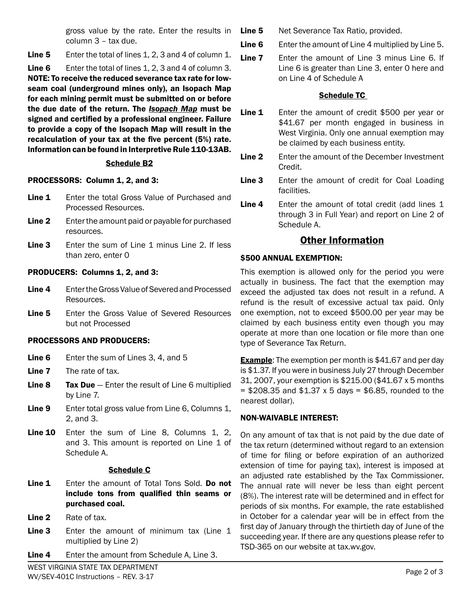gross value by the rate. Enter the results in column 3 – tax due.

Line 5 Enter the total of lines 1, 2, 3 and 4 of column 1.

Line 6 Enter the total of lines 1, 2, 3 and 4 of column 3. NOTE: To receive the reduced severance tax rate for lowseam coal (underground mines only), an Isopach Map for each mining permit must be submitted on or before the due date of the return. The *Isopach Map* must be signed and certified by a professional engineer. Failure to provide a copy of the Isopach Map will result in the recalculation of your tax at the five percent (5%) rate. Information can be found in Interpretive Rule 110-13AB.

# Schedule B2

# PROCESSORS: Column 1, 2, and 3:

- Line 1 Enter the total Gross Value of Purchased and Processed Resources.
- Line 2 Enter the amount paid or payable for purchased resources.
- Line 3 Enter the sum of Line 1 minus Line 2. If less than zero, enter 0

### PRODUCERS: Columns 1, 2, and 3:

- Line 4 Enter the Gross Value of Severed and Processed Resources.
- Line 5 Enter the Gross Value of Severed Resources but not Processed

# Processors and producers:

- Line 6 Enter the sum of Lines 3, 4, and 5
- Line 7 The rate of tax.
- Line 8 Tax Due Enter the result of Line 6 multiplied by Line 7.
- Line 9 Enter total gross value from Line 6, Columns 1, 2, and 3.
- Line 10 Enter the sum of Line 8, Columns 1, 2, and 3. This amount is reported on Line 1 of Schedule A.

### Schedule C

- Line 1 Enter the amount of Total Tons Sold. Do not include tons from qualified thin seams or purchased coal.
- Line 2 Rate of tax.
- Line 3 Enter the amount of minimum tax (Line 1 multiplied by Line 2)
- Line 4 Enter the amount from Schedule A, Line 3.

Line 5 Net Severance Tax Ratio, provided.

- **Line 6** Enter the amount of Line 4 multiplied by Line 5.
- Line 7 Enter the amount of Line 3 minus Line 6. If Line 6 is greater than Line 3, enter 0 here and on Line 4 of Schedule A

# Schedule TC

- Line 1 Enter the amount of credit \$500 per year or \$41.67 per month engaged in business in West Virginia. Only one annual exemption may be claimed by each business entity.
- **Line 2** Enter the amount of the December Investment Credit.
- Line 3 Enter the amount of credit for Coal Loading facilities.
- **Line 4** Enter the amount of total credit (add lines 1 through 3 in Full Year) and report on Line 2 of Schedule A.

# Other Information

### \$500 ANNUAL EXEMPTION:

This exemption is allowed only for the period you were actually in business. The fact that the exemption may exceed the adjusted tax does not result in a refund. A refund is the result of excessive actual tax paid. Only one exemption, not to exceed \$500.00 per year may be claimed by each business entity even though you may operate at more than one location or file more than one type of Severance Tax Return.

**Example:** The exemption per month is \$41.67 and per day is \$1.37. If you were in business July 27 through December 31, 2007, your exemption is \$215.00 (\$41.67 x 5 months  $=$  \$208.35 and \$1.37 x 5 days = \$6.85, rounded to the nearest dollar).

# Non-waivable interest:

On any amount of tax that is not paid by the due date of the tax return (determined without regard to an extension of time for filing or before expiration of an authorized extension of time for paying tax), interest is imposed at an adjusted rate established by the Tax Commissioner. The annual rate will never be less than eight percent (8%). The interest rate will be determined and in effect for periods of six months. For example, the rate established in October for a calendar year will be in effect from the first day of January through the thirtieth day of June of the succeeding year. If there are any questions please refer to TSD-365 on our website at tax.wv.gov.